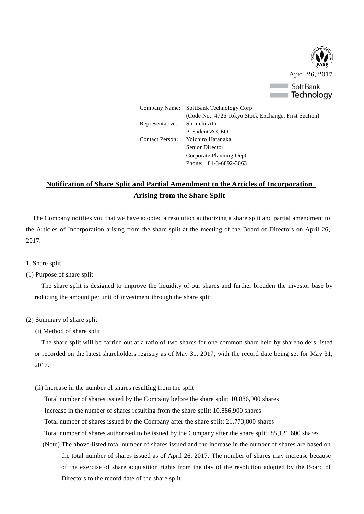

Company Name: SoftBank Technology Corp. (Code No.: 4726 Tokyo Stock Exchange, First Section) Representative: Shinichi Ata President & CEO Contact Person: Yoichiro Hatanaka Senior Director Corporate Planning Dept. Phone: +81-3-6892-3063

## **Notification of Share Split and Partial Amendment to the Articles of Incorporation Arising from the Share Split**

The Company notifies you that we have adopted a resolution authorizing a share split and partial amendment to the Articles of Incorporation arising from the share split at the meeting of the Board of Directors on April 26, 2017.

- 1. Share split
- (1) Purpose of share split

The share split is designed to improve the liquidity of our shares and further broaden the investor base by reducing the amount per unit of investment through the share split.

- (2) Summary of share split
	- (i) Method of share split

The share split will be carried out at a ratio of two shares for one common share held by shareholders listed or recorded on the latest shareholders registry as of May 31, 2017, with the record date being set for May 31, 2017.

(ii) Increase in the number of shares resulting from the split

Total number of shares issued by the Company before the share split: 10,886,900 shares

Increase in the number of shares resulting from the share split: 10,886,900 shares

Total number of shares issued by the Company after the share split: 21,773,800 shares

Total number of shares authorized to be issued by the Company after the share split: 85,121,600 shares

(Note) The above-listed total number of shares issued and the increase in the number of shares are based on the total number of shares issued as of April 26, 2017. The number of shares may increase because of the exercise of share acquisition rights from the day of the resolution adopted by the Board of Directors to the record date of the share split.